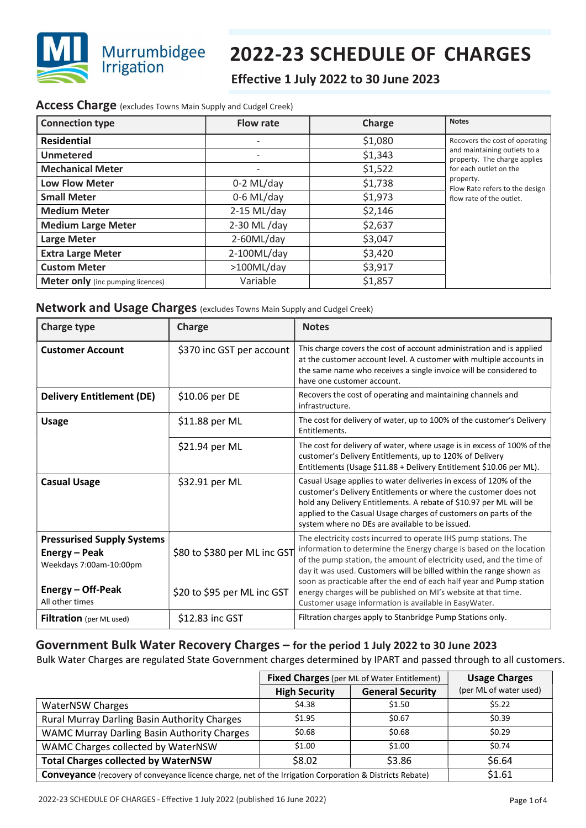

# 2022-23 SCHEDULE OF CHARGES

# Effective 1 July 2022 to 30 June 2023

### Access Charge (excludes Towns Main Supply and Cudgel Creek)

| <b>Connection type</b>                   | <b>Flow rate</b> | Charge  | <b>Notes</b>                                                 |
|------------------------------------------|------------------|---------|--------------------------------------------------------------|
| <b>Residential</b>                       |                  | \$1,080 | Recovers the cost of operating                               |
| Unmetered                                |                  | \$1,343 | and maintaining outlets to a<br>property. The charge applies |
| <b>Mechanical Meter</b>                  |                  | \$1,522 | for each outlet on the                                       |
| <b>Low Flow Meter</b>                    | $0-2$ ML/day     | \$1,738 | property.<br>Flow Rate refers to the design                  |
| <b>Small Meter</b>                       | $0-6$ ML/day     | \$1,973 | flow rate of the outlet.                                     |
| <b>Medium Meter</b>                      | $2-15$ ML/day    | \$2,146 |                                                              |
| <b>Medium Large Meter</b>                | 2-30 ML/day      | \$2,637 |                                                              |
| <b>Large Meter</b>                       | 2-60ML/day       | \$3,047 |                                                              |
| <b>Extra Large Meter</b>                 | 2-100ML/day      | \$3,420 |                                                              |
| <b>Custom Meter</b>                      | >100ML/day       | \$3,917 |                                                              |
| <b>Meter only</b> (inc pumping licences) | Variable         | \$1,857 |                                                              |

## Network and Usage Charges (excludes Towns Main Supply and Cudgel Creek)

| <b>Charge type</b>                                                            | Charge                       | <b>Notes</b>                                                                                                                                                                                                                                                                                                                      |
|-------------------------------------------------------------------------------|------------------------------|-----------------------------------------------------------------------------------------------------------------------------------------------------------------------------------------------------------------------------------------------------------------------------------------------------------------------------------|
| <b>Customer Account</b>                                                       | \$370 inc GST per account    | This charge covers the cost of account administration and is applied<br>at the customer account level. A customer with multiple accounts in<br>the same name who receives a single invoice will be considered to<br>have one customer account.                                                                                    |
| <b>Delivery Entitlement (DE)</b>                                              | \$10.06 per DE               | Recovers the cost of operating and maintaining channels and<br>infrastructure.                                                                                                                                                                                                                                                    |
| <b>Usage</b>                                                                  | \$11.88 per ML               | The cost for delivery of water, up to 100% of the customer's Delivery<br>Entitlements.                                                                                                                                                                                                                                            |
|                                                                               | \$21.94 per ML               | The cost for delivery of water, where usage is in excess of 100% of the<br>customer's Delivery Entitlements, up to 120% of Delivery<br>Entitlements (Usage \$11.88 + Delivery Entitlement \$10.06 per ML).                                                                                                                        |
| <b>Casual Usage</b>                                                           | \$32.91 per ML               | Casual Usage applies to water deliveries in excess of 120% of the<br>customer's Delivery Entitlements or where the customer does not<br>hold any Delivery Entitlements. A rebate of \$10.97 per ML will be<br>applied to the Casual Usage charges of customers on parts of the<br>system where no DEs are available to be issued. |
| <b>Pressurised Supply Systems</b><br>Energy - Peak<br>Weekdays 7:00am-10:00pm | \$80 to \$380 per ML inc GST | The electricity costs incurred to operate IHS pump stations. The<br>information to determine the Energy charge is based on the location<br>of the pump station, the amount of electricity used, and the time of<br>day it was used. Customers will be billed within the range shown as                                            |
| Energy – Off-Peak<br>All other times                                          | \$20 to \$95 per ML inc GST  | soon as practicable after the end of each half year and Pump station<br>energy charges will be published on MI's website at that time.<br>Customer usage information is available in EasyWater.                                                                                                                                   |
| <b>Filtration</b> (per ML used)                                               | \$12.83 inc GST              | Filtration charges apply to Stanbridge Pump Stations only.                                                                                                                                                                                                                                                                        |

## Government Bulk Water Recovery Charges – for the period 1 July 2022 to 30 June 2023

Bulk Water Charges are regulated State Government charges determined by IPART and passed through to all customers.

|                                                                                                          | <b>Fixed Charges</b> (per ML of Water Entitlement) |                         | <b>Usage Charges</b>   |
|----------------------------------------------------------------------------------------------------------|----------------------------------------------------|-------------------------|------------------------|
|                                                                                                          | <b>High Security</b>                               | <b>General Security</b> | (per ML of water used) |
| <b>WaterNSW Charges</b>                                                                                  | \$4.38                                             | \$1.50                  | \$5.22                 |
| Rural Murray Darling Basin Authority Charges                                                             | \$1.95                                             | \$0.67                  | \$0.39                 |
| WAMC Murray Darling Basin Authority Charges                                                              | \$0.68                                             | \$0.68                  | \$0.29                 |
| WAMC Charges collected by WaterNSW                                                                       | \$1.00                                             | \$1.00                  | \$0.74                 |
| <b>Total Charges collected by WaterNSW</b>                                                               | \$8.02                                             | \$3.86                  | \$6.64                 |
| Conveyance (recovery of conveyance licence charge, net of the Irrigation Corporation & Districts Rebate) |                                                    |                         | \$1.61                 |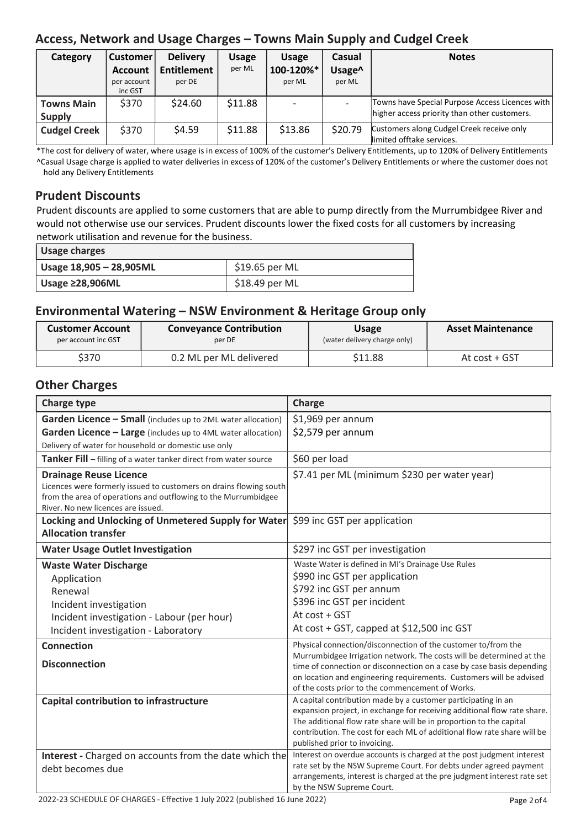# Access, Network and Usage Charges – Towns Main Supply and Cudgel Creek

| Category            | <b>Customer</b> | <b>Delivery</b>    | Usage   | <b>Usage</b> | <b>Casual</b> | <b>Notes</b>                                                           |
|---------------------|-----------------|--------------------|---------|--------------|---------------|------------------------------------------------------------------------|
|                     | <b>Account</b>  | <b>Entitlement</b> | per ML  | 100-120%*    | Usage^        |                                                                        |
|                     | per account     | per DE             |         | per ML       | per ML        |                                                                        |
|                     | inc GST         |                    |         |              |               |                                                                        |
| <b>Towns Main</b>   | \$370           | \$24.60            | \$11.88 |              |               | Towns have Special Purpose Access Licences with                        |
| <b>Supply</b>       |                 |                    |         |              |               | higher access priority than other customers.                           |
| <b>Cudgel Creek</b> | \$370           | \$4.59             | \$11.88 | \$13.86      | \$20.79       | Customers along Cudgel Creek receive only<br>limited offtake services. |

\*The cost for delivery of water, where usage is in excess of 100% of the customer's Delivery Entitlements, up to 120% of Delivery Entitlements ^Casual Usage charge is applied to water deliveries in excess of 120% of the customer's Delivery Entitlements or where the customer does not hold any Delivery Entitlements

# Prudent Discounts

Prudent discounts are applied to some customers that are able to pump directly from the Murrumbidgee River and would not otherwise use our services. Prudent discounts lower the fixed costs for all customers by increasing network utilisation and revenue for the business.

| Usage charges           |                |  |
|-------------------------|----------------|--|
| Usage 18,905 - 28,905ML | \$19.65 per ML |  |
| Usage $\geq$ 28,906ML   | \$18.49 per ML |  |

# Environmental Watering – NSW Environment & Heritage Group only

| <b>Customer Account</b> | <b>Conveyance Contribution</b> | <b>Usage</b>                 | <b>Asset Maintenance</b> |
|-------------------------|--------------------------------|------------------------------|--------------------------|
| per account inc GST     | per DE                         | (water delivery charge only) |                          |
| \$370                   | 0.2 ML per ML delivered        | \$11.88                      | At cost + GST            |

## Other Charges

| <b>Charge type</b>                                                                                                                                                    | Charge                                                                                                                                       |
|-----------------------------------------------------------------------------------------------------------------------------------------------------------------------|----------------------------------------------------------------------------------------------------------------------------------------------|
| Garden Licence - Small (includes up to 2ML water allocation)                                                                                                          | \$1,969 per annum                                                                                                                            |
| Garden Licence - Large (includes up to 4ML water allocation)                                                                                                          | \$2,579 per annum                                                                                                                            |
| Delivery of water for household or domestic use only                                                                                                                  |                                                                                                                                              |
| Tanker Fill - filling of a water tanker direct from water source                                                                                                      | \$60 per load                                                                                                                                |
| <b>Drainage Reuse Licence</b><br>Licences were formerly issued to customers on drains flowing south<br>from the area of operations and outflowing to the Murrumbidgee | \$7.41 per ML (minimum \$230 per water year)                                                                                                 |
| River. No new licences are issued.                                                                                                                                    |                                                                                                                                              |
| Locking and Unlocking of Unmetered Supply for Water \$99 inc GST per application                                                                                      |                                                                                                                                              |
| <b>Allocation transfer</b>                                                                                                                                            |                                                                                                                                              |
| <b>Water Usage Outlet Investigation</b>                                                                                                                               | \$297 inc GST per investigation                                                                                                              |
| <b>Waste Water Discharge</b>                                                                                                                                          | Waste Water is defined in MI's Drainage Use Rules                                                                                            |
| Application                                                                                                                                                           | \$990 inc GST per application                                                                                                                |
| Renewal                                                                                                                                                               | \$792 inc GST per annum                                                                                                                      |
| Incident investigation                                                                                                                                                | \$396 inc GST per incident                                                                                                                   |
| Incident investigation - Labour (per hour)                                                                                                                            | At cost + GST                                                                                                                                |
| Incident investigation - Laboratory                                                                                                                                   | At cost + GST, capped at \$12,500 inc GST                                                                                                    |
| <b>Connection</b>                                                                                                                                                     | Physical connection/disconnection of the customer to/from the                                                                                |
| <b>Disconnection</b>                                                                                                                                                  | Murrumbidgee Irrigation network. The costs will be determined at the                                                                         |
|                                                                                                                                                                       | time of connection or disconnection on a case by case basis depending<br>on location and engineering requirements. Customers will be advised |
|                                                                                                                                                                       | of the costs prior to the commencement of Works.                                                                                             |
| Capital contribution to infrastructure                                                                                                                                | A capital contribution made by a customer participating in an                                                                                |
|                                                                                                                                                                       | expansion project, in exchange for receiving additional flow rate share.                                                                     |
|                                                                                                                                                                       | The additional flow rate share will be in proportion to the capital                                                                          |
|                                                                                                                                                                       | contribution. The cost for each ML of additional flow rate share will be<br>published prior to invoicing.                                    |
| Interest - Charged on accounts from the date which the                                                                                                                | Interest on overdue accounts is charged at the post judgment interest                                                                        |
| debt becomes due                                                                                                                                                      | rate set by the NSW Supreme Court. For debts under agreed payment                                                                            |
|                                                                                                                                                                       | arrangements, interest is charged at the pre judgment interest rate set                                                                      |
|                                                                                                                                                                       | by the NSW Supreme Court.                                                                                                                    |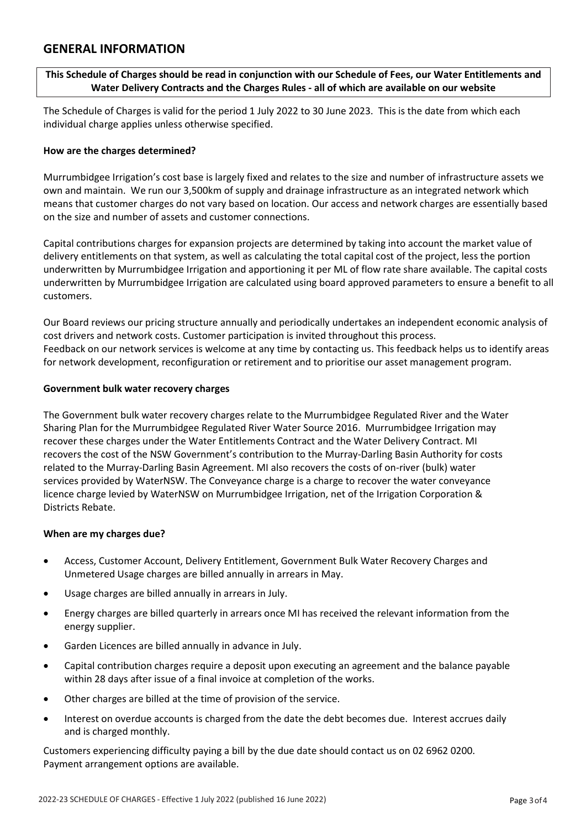## GENERAL INFORMATION

#### This Schedule of Charges should be read in conjunction with our Schedule of Fees, our Water Entitlements and Water Delivery Contracts and the Charges Rules - all of which are available on our website

The Schedule of Charges is valid for the period 1 July 2022 to 30 June 2023. This is the date from which each individual charge applies unless otherwise specified. ww.mirrigation.com

#### How are the charges determined?

Murrumbidgee Irrigation's cost base is largely fixed and relates to the size and number of infrastructure assets we own and maintain. We run our 3,500km of supply and drainage infrastructure as an integrated network which means that customer charges do not vary based on location. Our access and network charges are essentially based on the size and number of assets and customer connections.

Capital contributions charges for expansion projects are determined by taking into account the market value of delivery entitlements on that system, as well as calculating the total capital cost of the project, less the portion underwritten by Murrumbidgee Irrigation and apportioning it per ML of flow rate share available. The capital costs underwritten by Murrumbidgee Irrigation are calculated using board approved parameters to ensure a benefit to all customers.

Our Board reviews our pricing structure annually and periodically undertakes an independent economic analysis of cost drivers and network costs. Customer participation is invited throughout this process. Feedback on our network services is welcome at any time by contacting us. This feedback helps us to identify areas for network development, reconfiguration or retirement and to prioritise our asset management program.

#### Government bulk water recovery charges

The Government bulk water recovery charges relate to the Murrumbidgee Regulated River and the Water Sharing Plan for the Murrumbidgee Regulated River Water Source 2016. Murrumbidgee Irrigation may recover these charges under the Water Entitlements Contract and the Water Delivery Contract. MI recovers the cost of the NSW Government's contribution to the Murray-Darling Basin Authority for costs related to the Murray-Darling Basin Agreement. MI also recovers the costs of on-river (bulk) water services provided by WaterNSW. The Conveyance charge is a charge to recover the water conveyance licence charge levied by WaterNSW on Murrumbidgee Irrigation, net of the Irrigation Corporation & Districts Rebate.

#### When are my charges due?

- Access, Customer Account, Delivery Entitlement, Government Bulk Water Recovery Charges and Unmetered Usage charges are billed annually in arrears in May.
- Usage charges are billed annually in arrears in July.
- Energy charges are billed quarterly in arrears once MI has received the relevant information from the energy supplier.
- Garden Licences are billed annually in advance in July.
- Capital contribution charges require a deposit upon executing an agreement and the balance payable within 28 days after issue of a final invoice at completion of the works.
- Other charges are billed at the time of provision of the service.
- Interest on overdue accounts is charged from the date the debt becomes due. Interest accrues daily and is charged monthly.

Customers experiencing difficulty paying a bill by the due date should contact us on 02 6962 0200. Payment arrangement options are available.